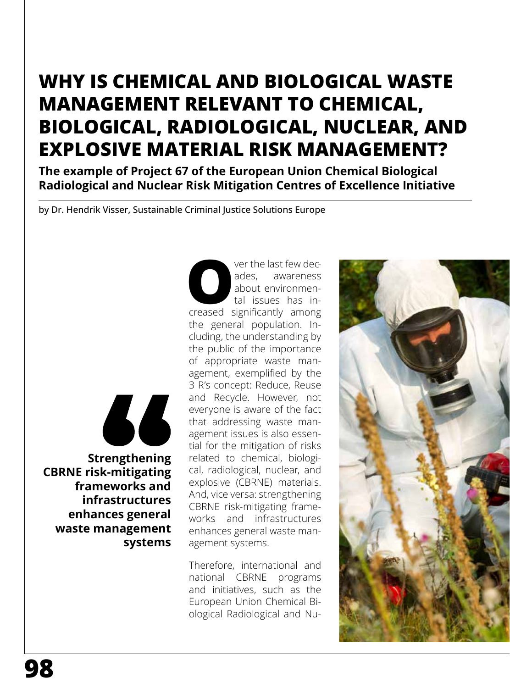# **WHY IS CHEMICAL AND BIOLOGICAL WASTE MANAGEMENT RELEVANT TO CHEMICAL, BIOLOGICAL, RADIOLOGICAL, NUCLEAR, AND EXPLOSIVE MATERIAL RISK MANAGEMENT?**

**The example of Project 67 of the European Union Chemical Biological Radiological and Nuclear Risk Mitigation Centres of Excellence Initiative**

by Dr. Hendrik Visser, Sustainable Criminal Justice Solutions Europe

66

 **Strengthening CBRNE risk-mitigating frameworks and infrastructures enhances general waste management systems** ver the last few decades, awareness<br>about environmental issues has increased significantly among ades, awareness about environmental issues has inthe general population. Including, the understanding by the public of the importance of appropriate waste management, exemplified by the 3 R's concept: Reduce, Reuse and Recycle. However, not everyone is aware of the fact that addressing waste management issues is also essential for the mitigation of risks related to chemical, biological, radiological, nuclear, and explosive (CBRNE) materials. And, vice versa: strengthening CBRNE risk-mitigating frameworks and infrastructures enhances general waste management systems.

Therefore, international and national CBRNE programs and initiatives, such as the European Union Chemical Biological Radiological and Nu-

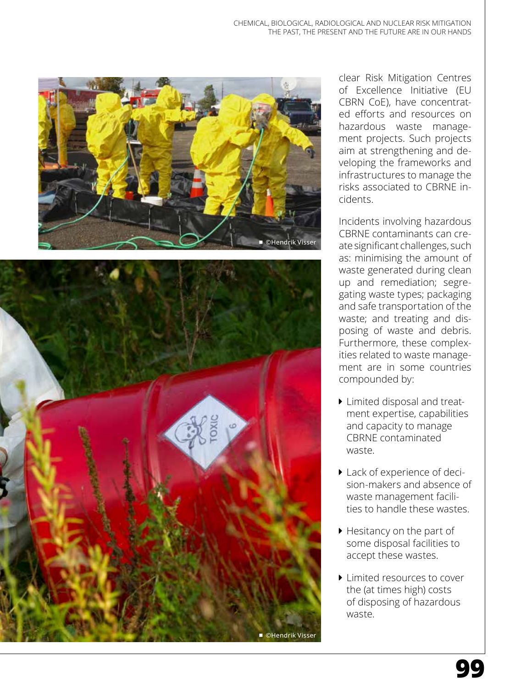



clear Risk Mitigation Centres of Excellence Initiative (EU CBRN CoE), have concentrated efforts and resources on hazardous waste management projects. Such projects aim at strengthening and developing the frameworks and infrastructures to manage the risks associated to CBRNE incidents.

Incidents involving hazardous CBRNE contaminants can create significant challenges, such as: minimising the amount of waste generated during clean up and remediation; segregating waste types; packaging and safe transportation of the waste; and treating and disposing of waste and debris. Furthermore, these complexities related to waste management are in some countries compounded by:

- **I** Limited disposal and treatment expertise, capabilities and capacity to manage CBRNE contaminated waste.
- ▶ Lack of experience of decision-makers and absence of waste management facilities to handle these wastes.
- ▶ Hesitancy on the part of some disposal facilities to accept these wastes.
- $\blacktriangleright$  Limited resources to cover the (at times high) costs of disposing of hazardous waste.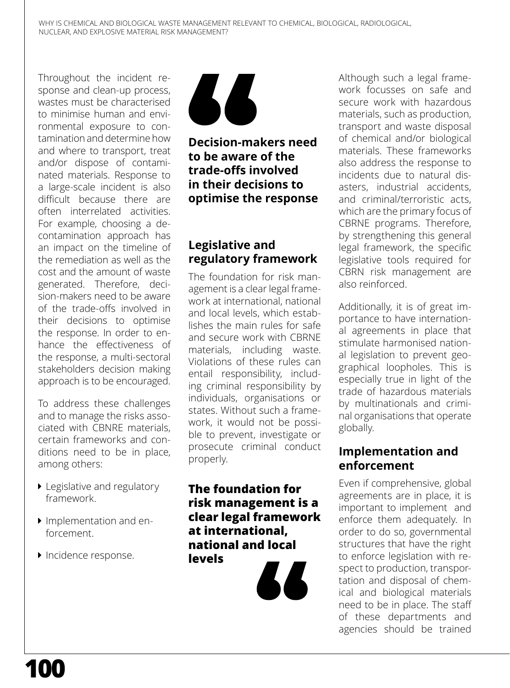Throughout the incident response and clean-up process, wastes must be characterised to minimise human and environmental exposure to contamination and determine how and where to transport, treat and/or dispose of contaminated materials. Response to a large-scale incident is also difficult because there are often interrelated activities. For example, choosing a decontamination approach has an impact on the timeline of the remediation as well as the cost and the amount of waste generated. Therefore, decision-makers need to be aware of the trade-offs involved in their decisions to optimise the response. In order to enhance the effectiveness of the response, a multi-sectoral stakeholders decision making approach is to be encouraged.

To address these challenges and to manage the risks associated with CBNRE materials, certain frameworks and conditions need to be in place, among others:

- Legislative and regulatory framework.
- **Implementation and en**forcement.
- **Incidence response.**



**Decision-makers need to be aware of the trade-offs involved in their decisions to optimise the response**

# **Legislative and regulatory framework**

The foundation for risk management is a clear legal framework at international, national and local levels, which establishes the main rules for safe and secure work with CBRNE materials, including waste. Violations of these rules can entail responsibility, including criminal responsibility by individuals, organisations or states. Without such a framework, it would not be possible to prevent, investigate or prosecute criminal conduct properly.

**The foundation for risk management is a clear legal framework at international, national and local levels**



Although such a legal framework focusses on safe and secure work with hazardous materials, such as production, transport and waste disposal of chemical and/or biological materials. These frameworks also address the response to incidents due to natural disasters, industrial accidents, and criminal/terroristic acts, which are the primary focus of CBRNE programs. Therefore, by strengthening this general legal framework, the specific legislative tools required for CBRN risk management are also reinforced.

Additionally, it is of great importance to have international agreements in place that stimulate harmonised national legislation to prevent geographical loopholes. This is especially true in light of the trade of hazardous materials by multinationals and criminal organisations that operate globally.

#### **Implementation and enforcement**

Even if comprehensive, global agreements are in place, it is important to implement and enforce them adequately. In order to do so, governmental structures that have the right to enforce legislation with respect to production, transportation and disposal of chemical and biological materials need to be in place. The staff of these departments and agencies should be trained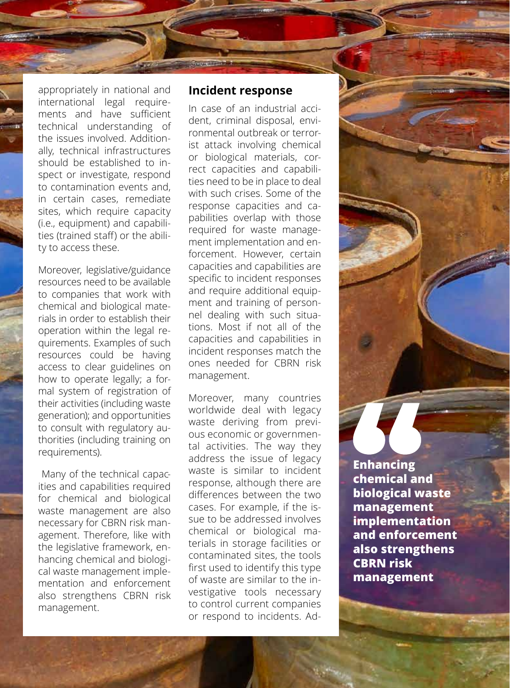appropriately in national and international legal requirements and have sufficient technical understanding of the issues involved. Additionally, technical infrastructures should be established to inspect or investigate, respond to contamination events and, in certain cases, remediate sites, which require capacity (i.e., equipment) and capabilities (trained staff) or the ability to access these.

Moreover, legislative/guidance resources need to be available to companies that work with chemical and biological materials in order to establish their operation within the legal requirements. Examples of such resources could be having access to clear guidelines on how to operate legally; a formal system of registration of their activities (including waste generation); and opportunities to consult with regulatory authorities (including training on requirements).

 Many of the technical capacities and capabilities required for chemical and biological waste management are also necessary for CBRN risk management. Therefore, like with the legislative framework, enhancing chemical and biological waste management implementation and enforcement also strengthens CBRN risk management.

#### **Incident response**

CHEMICAL, BIOLOGICAL, RADIOLOGICAL AND NUCLEAR RISK MITIGATION

THE PAST, THE PAST, THE PAST, THE PAST, THE PAST, THE PAST, THE PAST, THE PAST, THE PAST, THE PAST, THE PAST,

In case of an industrial accident, criminal disposal, environmental outbreak or terrorist attack involving chemical or biological materials, correct capacities and capabilities need to be in place to deal with such crises. Some of the response capacities and capabilities overlap with those required for waste management implementation and enforcement. However, certain capacities and capabilities are specific to incident responses and require additional equipment and training of personnel dealing with such situations. Most if not all of the capacities and capabilities in incident responses match the ones needed for CBRN risk management.

Moreover, many countries worldwide deal with legacy waste deriving from previous economic or governmental activities. The way they address the issue of legacy waste is similar to incident response, although there are differences between the two cases. For example, if the issue to be addressed involves chemical or biological materials in storage facilities or contaminated sites, the tools first used to identify this type of waste are similar to the investigative tools necessary to control current companies or respond to incidents. Ad-

**Enhancing chemical and biological waste management implementation and enforcement also strengthens CBRN risk management**

**101**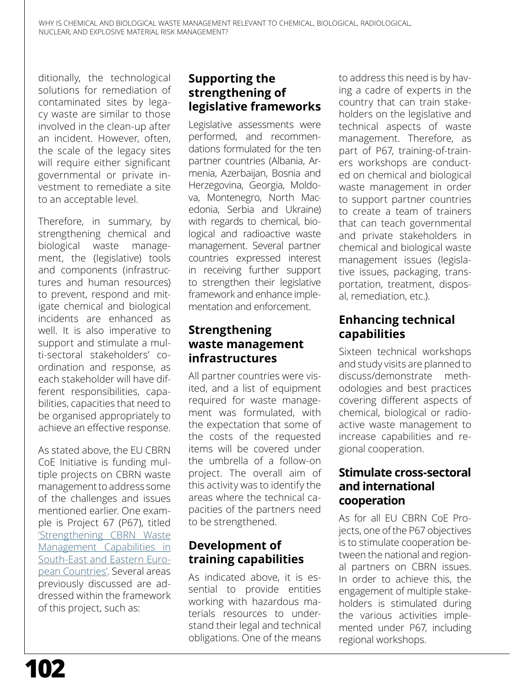ditionally, the technological solutions for remediation of contaminated sites by legacy waste are similar to those involved in the clean-up after an incident. However, often, the scale of the legacy sites will require either significant governmental or private investment to remediate a site to an acceptable level.

Therefore, in summary, by strengthening chemical and biological waste management, the (legislative) tools and components (infrastructures and human resources) to prevent, respond and mitigate chemical and biological incidents are enhanced as well. It is also imperative to support and stimulate a multi-sectoral stakeholders' coordination and response, as each stakeholder will have different responsibilities, capabilities, capacities that need to be organised appropriately to achieve an effective response.

As stated above, the EU CBRN CoE Initiative is funding multiple projects on CBRN waste management to address some of the challenges and issues mentioned earlier. One example is Project 67 (P67), titled ['Strengthening CBRN Waste](http://www.cbrn-project67.com)  [Management Capabilities in](http://www.cbrn-project67.com)  [South-East and Eastern Euro](http://www.cbrn-project67.com)[pean Countries'](http://www.cbrn-project67.com). Several areas previously discussed are addressed within the framework of this project, such as:

### **Supporting the strengthening of legislative frameworks**

Legislative assessments were performed, and recommendations formulated for the ten partner countries (Albania, Armenia, Azerbaijan, Bosnia and Herzegovina, Georgia, Moldova, Montenegro, North Macedonia, Serbia and Ukraine) with regards to chemical, biological and radioactive waste management. Several partner countries expressed interest in receiving further support to strengthen their legislative framework and enhance implementation and enforcement.

# **Strengthening waste management infrastructures**

All partner countries were visited, and a list of equipment required for waste management was formulated, with the expectation that some of the costs of the requested items will be covered under the umbrella of a follow-on project. The overall aim of this activity was to identify the areas where the technical capacities of the partners need to be strengthened.

# **Development of training capabilities**

As indicated above, it is essential to provide entities working with hazardous materials resources to understand their legal and technical obligations. One of the means

to address this need is by having a cadre of experts in the country that can train stakeholders on the legislative and technical aspects of waste management. Therefore, as part of P67, training-of-trainers workshops are conducted on chemical and biological waste management in order to support partner countries to create a team of trainers that can teach governmental and private stakeholders in chemical and biological waste management issues (legislative issues, packaging, transportation, treatment, disposal, remediation, etc.).

# **Enhancing technical capabilities**

Sixteen technical workshops and study visits are planned to discuss/demonstrate methodologies and best practices covering different aspects of chemical, biological or radioactive waste management to increase capabilities and regional cooperation.

#### **Stimulate cross-sectoral and international cooperation**

As for all EU CBRN CoE Projects, one of the P67 objectives is to stimulate cooperation between the national and regional partners on CBRN issues. In order to achieve this, the engagement of multiple stakeholders is stimulated during the various activities implemented under P67, including regional workshops.